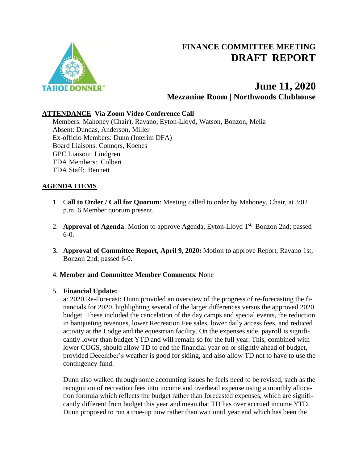



## **ATTENDANCE Via Zoom Video Conference Call**

Members: Mahoney (Chair), Ravano, Eyton-Lloyd, Watson, Bonzon, Melia Absent: Dundas, Anderson, Miller Ex-officio Members: Dunn (Interim DFA) Board Liaisons: Connors, Koenes GPC Liaison: Lindgren TDA Members: Colbert TDA Staff: Bennett

## **AGENDA ITEMS**

- 1. C**all to Order / Call for Quorum**: Meeting called to order by Mahoney, Chair, at 3:02 p.m. 6 Member quorum present.
- 2. **Approval of Agenda**: Motion to approve Agenda, Eyton-Lloyd 1<sup>st,</sup> Bonzon 2nd; passed 6-0.
- **3. Approval of Committee Report, April 9, 2020:** Motion to approve Report, Ravano 1st, Bonzon 2nd; passed 6-0.

### 4. **Member and Committee Member Comments**: None

## 5. **Financial Update:**

a: 2020 Re-Forecast: Dunn provided an overview of the progress of re-forecasting the financials for 2020, highlighting several of the larger differences versus the approved 2020 budget. These included the cancelation of the day camps and special events, the reduction in banqueting revenues, lower Recreation Fee sales, lower daily access fees, and reduced activity at the Lodge and the equestrian facility. On the expenses side, payroll is significantly lower than budget YTD and will remain so for the full year. This, combined with lower COGS, should allow TD to end the financial year on or slightly ahead of budget, provided December's weather is good for skiing, and also allow TD not to have to use the contingency fund.

Dunn also walked through some accounting issues he feels need to be revised, such as the recognition of recreation fees into income and overhead expense using a monthly allocation formula which reflects the budget rather than forecasted expenses, which are significantly different from budget this year and mean that TD has over accrued income YTD. Dunn proposed to run a true-up now rather than wait until year end which has been the

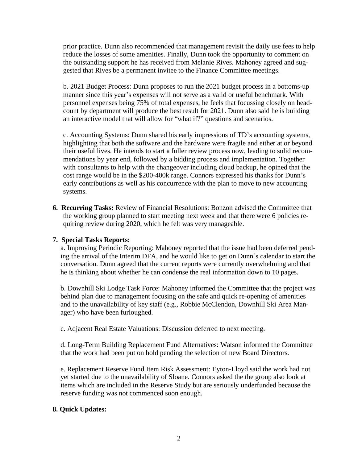prior practice. Dunn also recommended that management revisit the daily use fees to help reduce the losses of some amenities. Finally, Dunn took the opportunity to comment on the outstanding support he has received from Melanie Rives. Mahoney agreed and suggested that Rives be a permanent invitee to the Finance Committee meetings.

b. 2021 Budget Process: Dunn proposes to run the 2021 budget process in a bottoms-up manner since this year's expenses will not serve as a valid or useful benchmark. With personnel expenses being 75% of total expenses, he feels that focussing closely on headcount by department will produce the best result for 2021. Dunn also said he is building an interactive model that will allow for "what if?" questions and scenarios.

c. Accounting Systems: Dunn shared his early impressions of TD's accounting systems, highlighting that both the software and the hardware were fragile and either at or beyond their useful lives. He intends to start a fuller review process now, leading to solid recommendations by year end, followed by a bidding process and implementation. Together with consultants to help with the changeover including cloud backup, he opined that the cost range would be in the \$200-400k range. Connors expressed his thanks for Dunn's early contributions as well as his concurrence with the plan to move to new accounting systems.

**6. Recurring Tasks:** Review of Financial Resolutions: Bonzon advised the Committee that the working group planned to start meeting next week and that there were 6 policies requiring review during 2020, which he felt was very manageable.

# **7. Special Tasks Reports:**

a. Improving Periodic Reporting: Mahoney reported that the issue had been deferred pending the arrival of the Interim DFA, and he would like to get on Dunn's calendar to start the conversation. Dunn agreed that the current reports were currently overwhelming and that he is thinking about whether he can condense the real information down to 10 pages.

b. Downhill Ski Lodge Task Force: Mahoney informed the Committee that the project was behind plan due to management focusing on the safe and quick re-opening of amenities and to the unavailability of key staff (e.g., Robbie McClendon, Downhill Ski Area Manager) who have been furloughed.

c. Adjacent Real Estate Valuations: Discussion deferred to next meeting.

d. Long-Term Building Replacement Fund Alternatives: Watson informed the Committee that the work had been put on hold pending the selection of new Board Directors.

e. Replacement Reserve Fund Item Risk Assessment: Eyton-Lloyd said the work had not yet started due to the unavailability of Sloane. Connors asked the the group also look at items which are included in the Reserve Study but are seriously underfunded because the reserve funding was not commenced soon enough.

# **8. Quick Updates:**